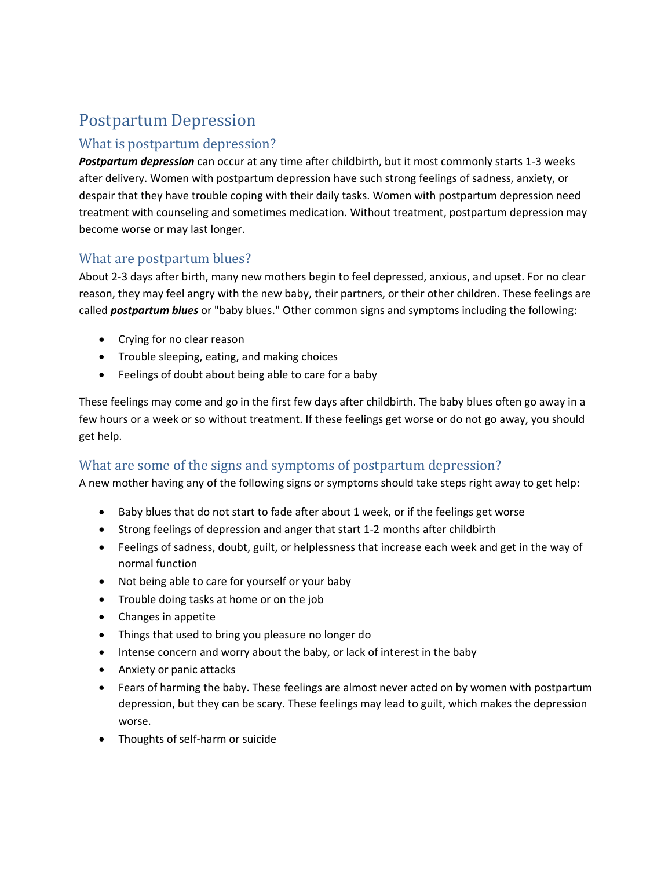# Postpartum Depression

#### What is postpartum depression?

*Postpartum depression* can occur at any time after childbirth, but it most commonly starts 1-3 weeks after delivery. Women with postpartum depression have such strong feelings of sadness, anxiety, or despair that they have trouble coping with their daily tasks. Women with postpartum depression need treatment with counseling and sometimes medication. Without treatment, postpartum depression may become worse or may last longer.

#### What are postpartum blues?

About 2-3 days after birth, many new mothers begin to feel depressed, anxious, and upset. For no clear reason, they may feel angry with the new baby, their partners, or their other children. These feelings are called *postpartum blues* or "baby blues." Other common signs and symptoms including the following:

- Crying for no clear reason
- Trouble sleeping, eating, and making choices
- Feelings of doubt about being able to care for a baby

These feelings may come and go in the first few days after childbirth. The baby blues often go away in a few hours or a week or so without treatment. If these feelings get worse or do not go away, you should get help.

#### What are some of the signs and symptoms of postpartum depression?

A new mother having any of the following signs or symptoms should take steps right away to get help:

- Baby blues that do not start to fade after about 1 week, or if the feelings get worse
- Strong feelings of depression and anger that start 1-2 months after childbirth
- Feelings of sadness, doubt, guilt, or helplessness that increase each week and get in the way of normal function
- Not being able to care for yourself or your baby
- Trouble doing tasks at home or on the job
- Changes in appetite
- Things that used to bring you pleasure no longer do
- Intense concern and worry about the baby, or lack of interest in the baby
- Anxiety or panic attacks
- Fears of harming the baby. These feelings are almost never acted on by women with postpartum depression, but they can be scary. These feelings may lead to guilt, which makes the depression worse.
- Thoughts of self-harm or suicide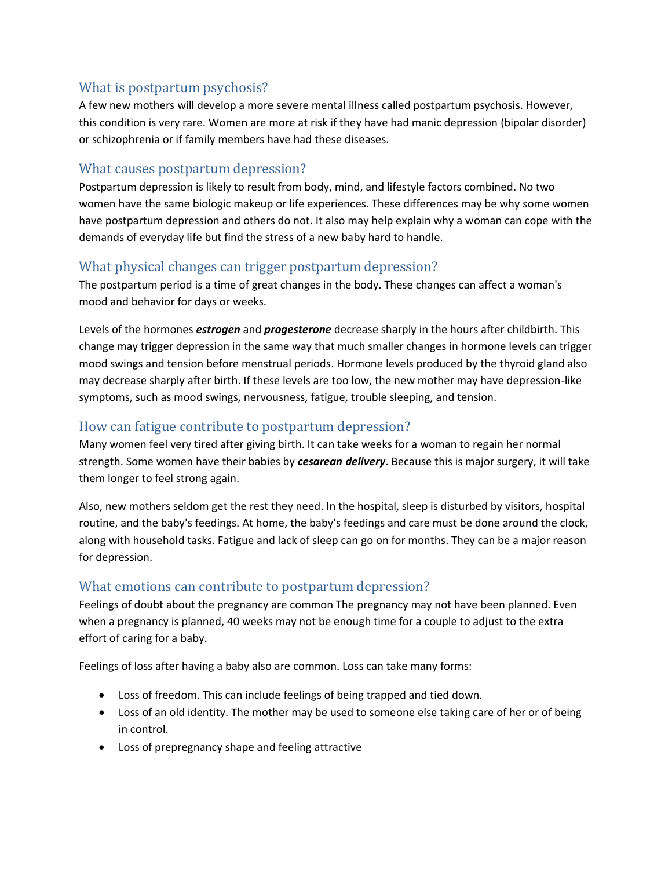### What is postpartum psychosis?

A few new mothers will develop a more severe mental illness called postpartum psychosis. However, this condition is very rare. Women are more at risk if they have had manic depression (bipolar disorder) or schizophrenia or if family members have had these diseases.

#### What causes postpartum depression?

Postpartum depression is likely to result from body, mind, and lifestyle factors combined. No two women have the same biologic makeup or life experiences. These differences may be why some women have postpartum depression and others do not. It also may help explain why a woman can cope with the demands of everyday life but find the stress of a new baby hard to handle.

#### What physical changes can trigger postpartum depression?

The postpartum period is a time of great changes in the body. These changes can affect a woman's mood and behavior for days or weeks.

Levels of the hormones *estrogen* and *progesterone* decrease sharply in the hours after childbirth. This change may trigger depression in the same way that much smaller changes in hormone levels can trigger mood swings and tension before menstrual periods. Hormone levels produced by the thyroid gland also may decrease sharply after birth. If these levels are too low, the new mother may have depression-like symptoms, such as mood swings, nervousness, fatigue, trouble sleeping, and tension.

### How can fatigue contribute to postpartum depression?

Many women feel very tired after giving birth. It can take weeks for a woman to regain her normal strength. Some women have their babies by *cesarean delivery*. Because this is major surgery, it will take them longer to feel strong again.

Also, new mothers seldom get the rest they need. In the hospital, sleep is disturbed by visitors, hospital routine, and the baby's feedings. At home, the baby's feedings and care must be done around the clock, along with household tasks. Fatigue and lack of sleep can go on for months. They can be a major reason for depression.

#### What emotions can contribute to postpartum depression?

Feelings of doubt about the pregnancy are common The pregnancy may not have been planned. Even when a pregnancy is planned, 40 weeks may not be enough time for a couple to adjust to the extra effort of caring for a baby.

Feelings of loss after having a baby also are common. Loss can take many forms:

- Loss of freedom. This can include feelings of being trapped and tied down.
- Loss of an old identity. The mother may be used to someone else taking care of her or of being in control.
- Loss of prepregnancy shape and feeling attractive